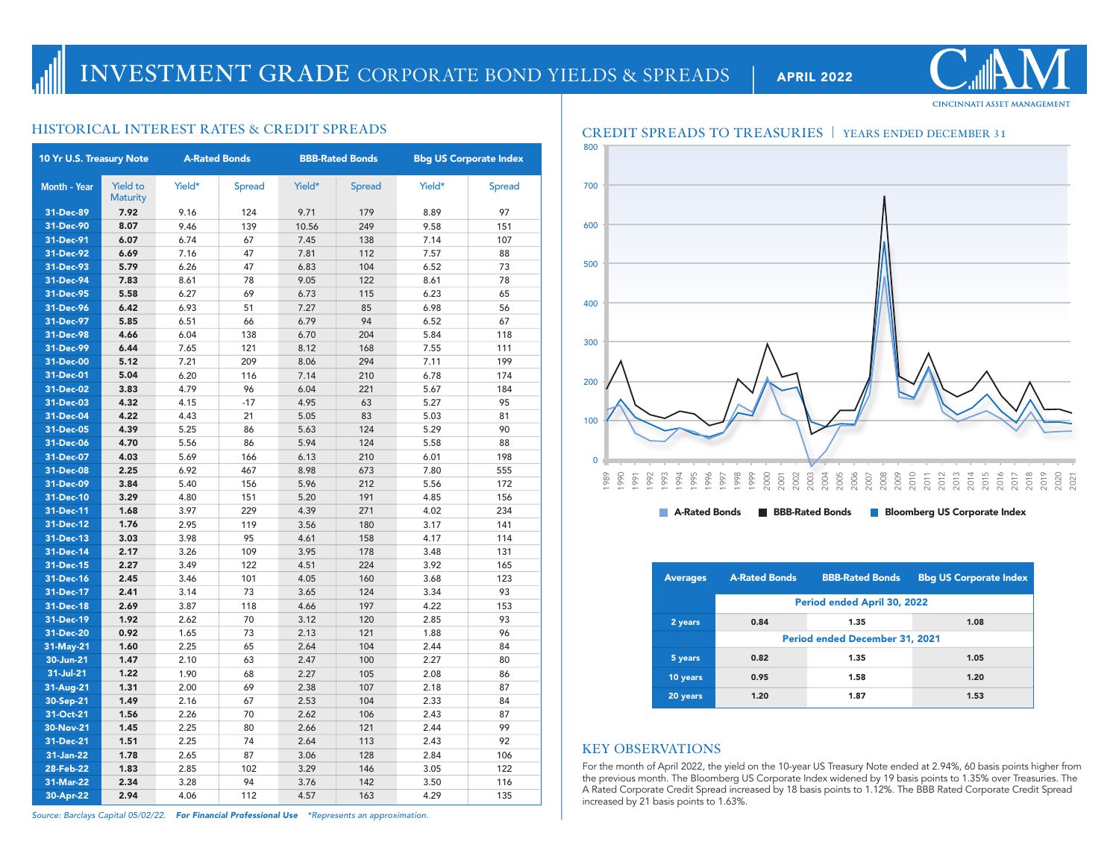| 10 Yr U.S. Treasury Note |                                    | <b>A-Rated Bonds</b> |               |        | <b>BBB-Rated Bonds</b> | <b>Bbg US Corporate Index</b> |               |  |
|--------------------------|------------------------------------|----------------------|---------------|--------|------------------------|-------------------------------|---------------|--|
| <b>Month - Year</b>      | <b>Yield to</b><br><b>Maturity</b> | Yield*               | <b>Spread</b> | Yield* | <b>Spread</b>          | Yield*                        | <b>Spread</b> |  |
| 31-Dec-89                | 7.92                               | 9.16                 | 124           | 9.71   | 179                    | 8.89                          | 97            |  |
| 31-Dec-90                | 8.07                               | 9.46                 | 139           | 10.56  | 249                    | 9.58                          | 151           |  |
| 31-Dec-91                | 6.07                               | 6.74                 | 67            | 7.45   | 138                    | 7.14                          | 107           |  |
| 31-Dec-92                | 6.69                               | 7.16                 | 47            | 7.81   | 112                    | 7.57                          | 88            |  |
| 31-Dec-93                | 5.79                               | 6.26                 | 47            | 6.83   | 104                    | 6.52                          | 73            |  |
| 31-Dec-94                | 7.83                               | 8.61                 | 78            | 9.05   | 122                    | 8.61                          | 78            |  |
| 31-Dec-95                | 5.58                               | 6.27                 | 69            | 6.73   | 115                    | 6.23                          | 65            |  |
| 31-Dec-96                | 6.42                               | 6.93                 | 51            | 7.27   | 85                     | 6.98                          | 56            |  |
| 31-Dec-97                | 5.85                               | 6.51                 | 66            | 6.79   | 94                     | 6.52                          | 67            |  |
| 31-Dec-98                | 4.66                               | 6.04                 | 138           | 6.70   | 204                    | 5.84                          | 118           |  |
| 31-Dec-99                | 6.44                               | 7.65                 | 121           | 8.12   | 168                    | 7.55                          | 111           |  |
| 31-Dec-00                | 5.12                               | 7.21                 | 209           | 8.06   | 294                    | 7.11                          | 199           |  |
| 31-Dec-01                | 5.04                               | 6.20                 | 116           | 7.14   | 210                    | 6.78                          | 174           |  |
| 31-Dec-02                | 3.83                               | 4.79                 | 96            | 6.04   | 221                    | 5.67                          | 184           |  |
| 31-Dec-03                | 4.32                               | 4.15                 | $-17$         | 4.95   | 63                     | 5.27                          | 95            |  |
| 31-Dec-04                | 4.22                               | 4.43                 | 21            | 5.05   | 83                     | 5.03                          | 81            |  |
| 31-Dec-05                | 4.39                               | 5.25                 | 86            | 5.63   | 124                    | 5.29                          | 90            |  |
| 31-Dec-06                | 4.70                               | 5.56                 | 86            | 5.94   | 124                    | 5.58                          | 88            |  |
| 31-Dec-07                | 4.03                               | 5.69                 | 166           | 6.13   | 210                    | 6.01                          | 198           |  |
| 31-Dec-08                | 2.25                               | 6.92                 | 467           | 8.98   | 673                    | 7.80                          | 555           |  |
| 31-Dec-09                | 3.84                               | 5.40                 | 156           | 5.96   | 212                    | 5.56                          | 172           |  |
| 31-Dec-10                | 3.29                               | 4.80                 | 151           | 5.20   | 191                    | 4.85                          | 156           |  |
| 31-Dec-11                | 1.68                               | 3.97                 | 229           | 4.39   | 271                    | 4.02                          | 234           |  |
| 31-Dec-12                | 1.76                               | 2.95                 | 119           | 3.56   | 180                    | 3.17                          | 141           |  |
| 31-Dec-13                | 3.03                               | 3.98                 | 95            | 4.61   | 158                    | 4.17                          | 114           |  |
| 31-Dec-14                | 2.17                               | 3.26                 | 109           | 3.95   | 178                    | 3.48                          | 131           |  |
| 31-Dec-15                | 2.27                               | 3.49                 | 122           | 4.51   | 224                    | 3.92                          | 165           |  |
| 31-Dec-16                | 2.45                               | 3.46                 | 101           | 4.05   | 160                    | 3.68                          | 123           |  |
| 31-Dec-17                | 2.41                               | 3.14                 | 73            | 3.65   | 124                    | 3.34                          | 93            |  |
| 31-Dec-18                | 2.69                               | 3.87                 | 118           | 4.66   | 197                    | 4.22                          | 153           |  |
| 31-Dec-19                | 1.92                               | 2.62                 | 70            | 3.12   | 120                    | 2.85                          | 93            |  |
| 31-Dec-20                | 0.92                               | 1.65                 | 73            | 2.13   | 121                    | 1.88                          | 96            |  |
| 31-May-21                | 1.60                               | 2.25                 | 65            | 2.64   | 104                    | 2.44                          | 84            |  |
| 30-Jun-21                | 1.47                               | 2.10                 | 63            | 2.47   | 100                    | 2.27                          | 80            |  |
| 31-Jul-21                | 1.22                               | 1.90                 | 68            | 2.27   | 105                    | 2.08                          | 86            |  |
| 31-Aug-21                | 1.31                               | 2.00                 | 69            | 2.38   | 107                    | 2.18                          | 87            |  |
| 30-Sep-21                | 1.49                               | 2.16                 | 67            | 2.53   | 104                    | 2.33                          | 84            |  |
| 31-Oct-21                | 1.56                               | 2.26                 | 70            | 2.62   | 106                    | 2.43                          | 87            |  |
| 30-Nov-21                | 1.45                               | 2.25                 | 80            | 2.66   | 121                    | 2.44                          | 99            |  |
| 31-Dec-21                | 1.51                               | 2.25                 | 74            | 2.64   | 113                    | 2.43                          | 92            |  |
| 31-Jan-22                | 1.78                               | 2.65                 | 87            | 3.06   | 128                    | 2.84                          | 106           |  |
| 28-Feb-22                | 1.83                               | 2.85                 | 102           | 3.29   | 146                    | 3.05                          | 122           |  |
| 31-Mar-22                | 2.34                               | 3.28                 | 94            | 3.76   | 142                    | 3.50                          | 116           |  |
| 30-Apr-22                | 2.94                               | 4.06                 | 112           | 4.57   | 163                    | 4.29                          | 135           |  |



| <b>Averages</b> | <b>A-Rated Bonds</b>           | <b>BBB-Rated Bonds</b> | <b>Bbg US Corporate Index</b> |  |  |  |  |  |  |
|-----------------|--------------------------------|------------------------|-------------------------------|--|--|--|--|--|--|
|                 | Period ended April 30, 2022    |                        |                               |  |  |  |  |  |  |
| 2 years         | 0.84                           | 1.35                   | 1.08                          |  |  |  |  |  |  |
|                 | Period ended December 31, 2021 |                        |                               |  |  |  |  |  |  |
| 5 years         | 0.82                           | 1.35                   | 1.05                          |  |  |  |  |  |  |
| 10 years        | 0.95                           | 1.58                   | 1.20                          |  |  |  |  |  |  |
| 20 years        | 1.20                           | 1.87                   | 1.53                          |  |  |  |  |  |  |

## **KEY OBSERVATIONS**

For the month of April 2022, the yield on the 10-year US Treasury Note ended at 2.94%, 60 basis points higher from the previous month. The Bloomberg US Corporate Index widened by 19 basis points to 1.35% over Treasuries. The A Rated Corporate Credit Spread increased by 18 basis points to 1.12%. The BBB Rated Corporate Credit Spread increased by 21 basis points to 1.63%.



**CINCINNATI ASSET MANAGEMENT**